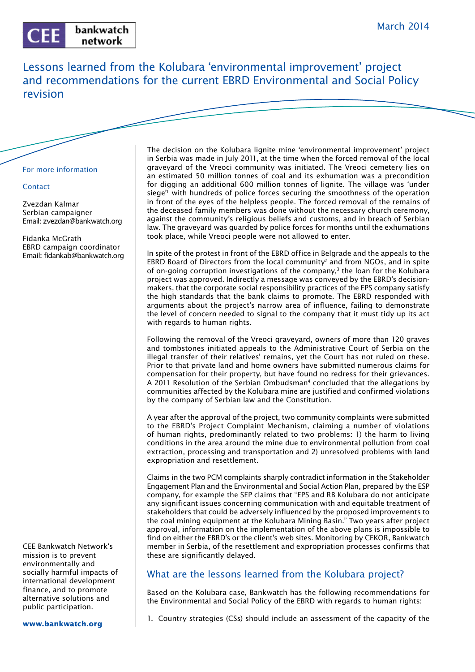

Lessons learned from the Kolubara 'environmental improvement' project and recommendations for the current EBRD Environmental and Social Policy revision

## For more information

## **Contact**

Zvezdan Kalmar Serbian campaigner Email: zvezdan@bankwatch.org

Fidanka McGrath EBRD campaign coordinator Email: fidankab@bankwatch.org

CEE Bankwatch Network's mission is to prevent environmentally and socially harmful impacts of international development finance, and to promote alternative solutions and public participation.

The decision on the Kolubara lignite mine 'environmental improvement' project in Serbia was made in July 2011, at the time when the forced removal of the local graveyard of the Vreoci community was initiated. The Vreoci cemetery lies on an estimated 50 million tonnes of coal and its exhumation was a precondition for digging an additional 600 million tonnes of lignite. The village was 'under siege<sup>'1</sup> with hundreds of police forces securing the smoothness of the operation in front of the eyes of the helpless people. The forced removal of the remains of the deceased family members was done without the necessary church ceremony, against the community's religious beliefs and customs, and in breach of Serbian law. The graveyard was guarded by police forces for months until the exhumations took place, while Vreoci people were not allowed to enter.

In spite of the protest in front of the EBRD office in Belgrade and the appeals to the EBRD Board of Directors from the local community<sup>2</sup> and from NGOs, and in spite of on-going corruption investigations of the company, $3$  the loan for the Kolubara project was approved. Indirectly a message was conveyed by the EBRD's decisionmakers, that the corporate social responsibility practices of the EPS company satisfy the high standards that the bank claims to promote. The EBRD responded with arguments about the project's narrow area of influence, failing to demonstrate the level of concern needed to signal to the company that it must tidy up its act with regards to human rights.

Following the removal of the Vreoci graveyard, owners of more than 120 graves and tombstones initiated appeals to the Administrative Court of Serbia on the illegal transfer of their relatives' remains, yet the Court has not ruled on these. Prior to that private land and home owners have submitted numerous claims for compensation for their property, but have found no redress for their grievances. A 2011 Resolution of the Serbian Ombudsman<sup>4</sup> concluded that the allegations by communities affected by the Kolubara mine are justified and confirmed violations by the company of Serbian law and the Constitution.

A year after the approval of the project, two community complaints were submitted to the EBRD's Project Complaint Mechanism, claiming a number of violations of human rights, predominantly related to two problems: 1) the harm to living conditions in the area around the mine due to environmental pollution from coal extraction, processing and transportation and 2) unresolved problems with land expropriation and resettlement.

Claims in the two PCM complaints sharply contradict information in the Stakeholder Engagement Plan and the Environmental and Social Action Plan, prepared by the ESP company, for example the SEP claims that "EPS and RB Kolubara do not anticipate any significant issues concerning communication with and equitable treatment of stakeholders that could be adversely influenced by the proposed improvements to the coal mining equipment at the Kolubara Mining Basin." Two years after project approval, information on the implementation of the above plans is impossible to find on either the EBRD's or the client's web sites. Monitoring by CEKOR, Bankwatch member in Serbia, of the resettlement and expropriation processes confirms that these are significantly delayed.

## What are the lessons learned from the Kolubara project?

Based on the Kolubara case, Bankwatch has the following recommendations for the Environmental and Social Policy of the EBRD with regards to human rights:

1. Country strategies (CSs) should include an assessment of the capacity of the

**www.bankwatch.org**